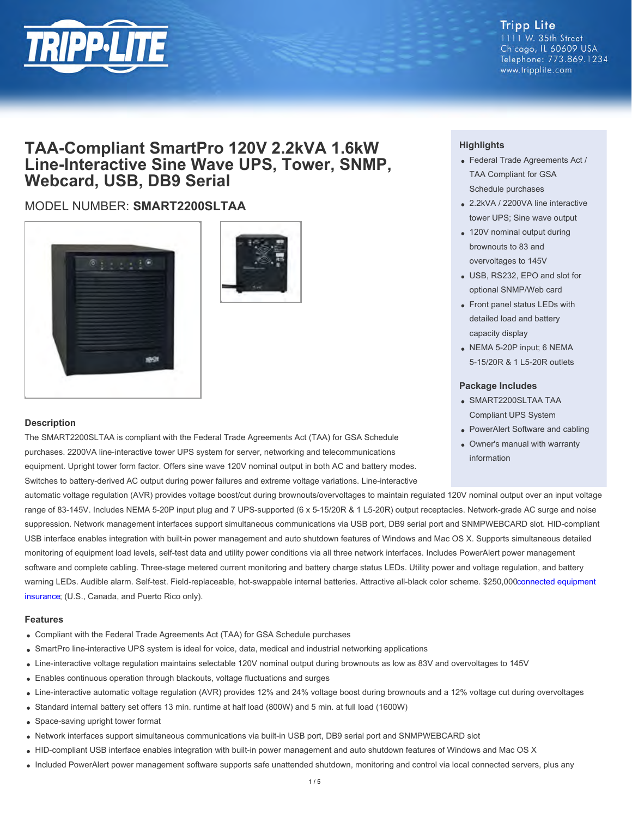

## **Tripp Lite**

1111 W. 35th Street Chicago, IL 60609 USA Telephone: 773.869.1234 www.tripplite.com

## **TAA-Compliant SmartPro 120V 2.2kVA 1.6kW Line-Interactive Sine Wave UPS, Tower, SNMP, Webcard, USB, DB9 Serial**

### MODEL NUMBER: **SMART2200SLTAA**





#### **Description**

The SMART2200SLTAA is compliant with the Federal Trade Agreements Act (TAA) for GSA Schedule purchases. 2200VA line-interactive tower UPS system for server, networking and telecommunications equipment. Upright tower form factor. Offers sine wave 120V nominal output in both AC and battery modes. Switches to battery-derived AC output during power failures and extreme voltage variations. Line-interactive

automatic voltage regulation (AVR) provides voltage boost/cut during brownouts/overvoltages to maintain regulated 120V nominal output over an input voltage range of 83-145V. Includes NEMA 5-20P input plug and 7 UPS-supported (6 x 5-15/20R & 1 L5-20R) output receptacles. Network-grade AC surge and noise suppression. Network management interfaces support simultaneous communications via USB port, DB9 serial port and SNMPWEBCARD slot. HID-compliant USB interface enables integration with built-in power management and auto shutdown features of Windows and Mac OS X. Supports simultaneous detailed monitoring of equipment load levels, self-test data and utility power conditions via all three network interfaces. Includes PowerAlert power management software and complete cabling. Three-stage metered current monitoring and battery charge status LEDs. Utility power and voltage regulation, and battery warning LEDs. Audible alarm. Self-test. Field-replaceable, hot-swappable internal batteries. Attractive all-black color scheme. \$250,00[0 connected equipment](file:/C:/STG/jobs/support/ultimate-lifetime-insurance-policy.cfm) [insurance](file:/C:/STG/jobs/support/ultimate-lifetime-insurance-policy.cfm); (U.S., Canada, and Puerto Rico only).

#### **Features**

- Compliant with the Federal Trade Agreements Act (TAA) for GSA Schedule purchases
- SmartPro line-interactive UPS system is ideal for voice, data, medical and industrial networking applications
- Line-interactive voltage regulation maintains selectable 120V nominal output during brownouts as low as 83V and overvoltages to 145V
- Enables continuous operation through blackouts, voltage fluctuations and surges
- Line-interactive automatic voltage regulation (AVR) provides 12% and 24% voltage boost during brownouts and a 12% voltage cut during overvoltages
- Standard internal battery set offers 13 min. runtime at half load (800W) and 5 min. at full load (1600W)
- Space-saving upright tower format
- Network interfaces support simultaneous communications via built-in USB port, DB9 serial port and SNMPWEBCARD slot
- HID-compliant USB interface enables integration with built-in power management and auto shutdown features of Windows and Mac OS X
- Included PowerAlert power management software supports safe unattended shutdown, monitoring and control via local connected servers, plus any

#### **Highlights**

- Federal Trade Agreements Act / TAA Compliant for GSA Schedule purchases
- 2.2kVA / 2200VA line interactive tower UPS; Sine wave output
- 120V nominal output during brownouts to 83 and overvoltages to 145V
- USB, RS232, EPO and slot for optional SNMP/Web card
- Front panel status LEDs with detailed load and battery capacity display
- NEMA 5-20P input; 6 NEMA 5-15/20R & 1 L5-20R outlets

#### **Package Includes**

- SMART2200SLTAA TAA Compliant UPS System
- PowerAlert Software and cabling
- Owner's manual with warranty information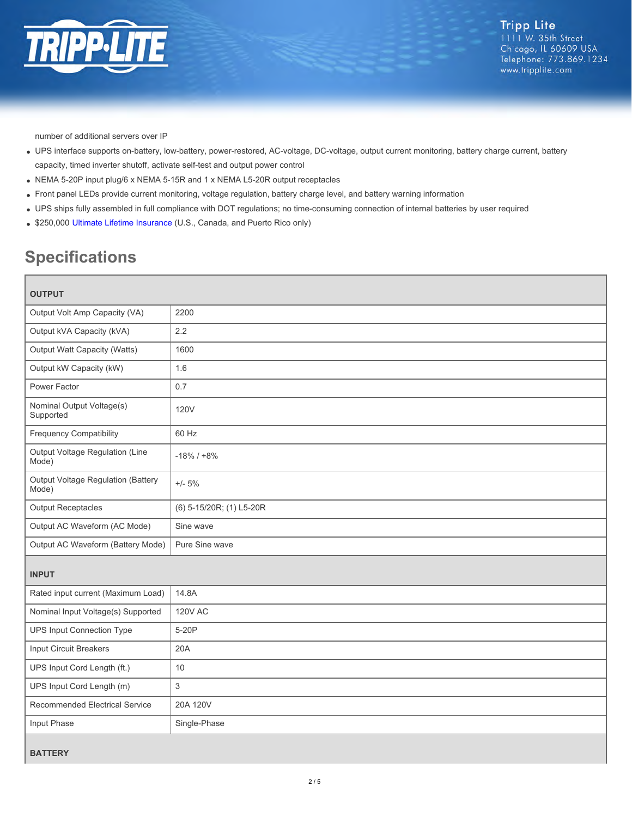

number of additional servers over IP

- UPS interface supports on-battery, low-battery, power-restored, AC-voltage, DC-voltage, output current monitoring, battery charge current, battery capacity, timed inverter shutoff, activate self-test and output power control
- NEMA 5-20P input plug/6 x NEMA 5-15R and 1 x NEMA L5-20R output receptacles
- Front panel LEDs provide current monitoring, voltage regulation, battery charge level, and battery warning information
- UPS ships fully assembled in full compliance with DOT regulations; no time-consuming connection of internal batteries by user required
- \$250,000 [Ultimate Lifetime Insurance](file:/C:/STG/jobs/support/ultimate-lifetime-insurance-policy.cfm) (U.S., Canada, and Puerto Rico only)

# **Specifications**

| <b>OUTPUT</b>                                      |                          |  |
|----------------------------------------------------|--------------------------|--|
| Output Volt Amp Capacity (VA)                      | 2200                     |  |
| Output kVA Capacity (kVA)                          | 2.2                      |  |
| Output Watt Capacity (Watts)                       | 1600                     |  |
| Output kW Capacity (kW)                            | 1.6                      |  |
| Power Factor                                       | 0.7                      |  |
| Nominal Output Voltage(s)<br>Supported             | <b>120V</b>              |  |
| <b>Frequency Compatibility</b>                     | 60 Hz                    |  |
| Output Voltage Regulation (Line<br>Mode)           | $-18\%$ / $+8\%$         |  |
| <b>Output Voltage Regulation (Battery</b><br>Mode) | $+/- 5%$                 |  |
| <b>Output Receptacles</b>                          | (6) 5-15/20R; (1) L5-20R |  |
| Output AC Waveform (AC Mode)                       | Sine wave                |  |
| Output AC Waveform (Battery Mode)                  | Pure Sine wave           |  |
| <b>INPUT</b>                                       |                          |  |
| Rated input current (Maximum Load)                 | 14.8A                    |  |
| Nominal Input Voltage(s) Supported                 | <b>120V AC</b>           |  |
| <b>UPS Input Connection Type</b>                   | 5-20P                    |  |
| Input Circuit Breakers                             | 20A                      |  |
| UPS Input Cord Length (ft.)                        | 10                       |  |
| UPS Input Cord Length (m)                          | 3                        |  |
| Recommended Electrical Service                     | 20A 120V                 |  |
| Input Phase                                        | Single-Phase             |  |
| <b>BATTERY</b>                                     |                          |  |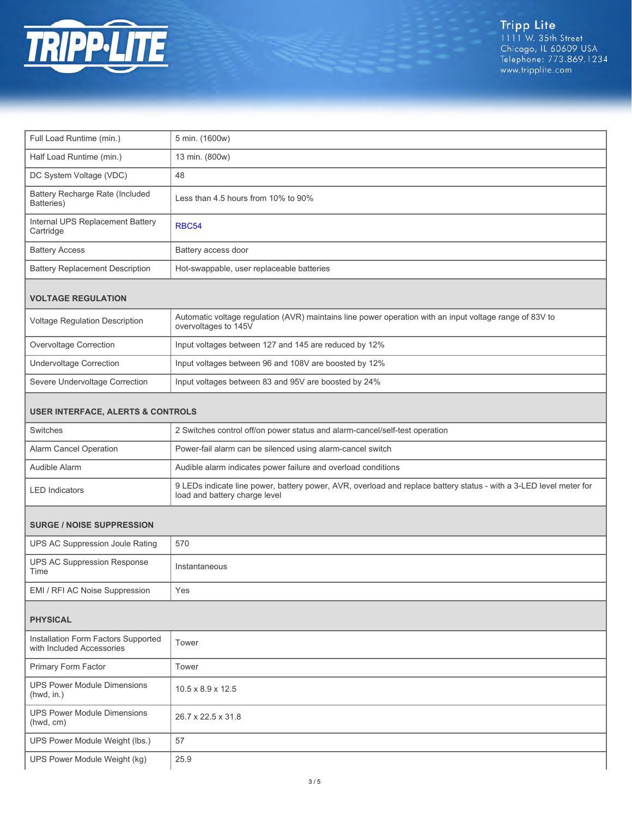

| Full Load Runtime (min.)                                         | 5 min. (1600w)                                                                                                                                      |  |
|------------------------------------------------------------------|-----------------------------------------------------------------------------------------------------------------------------------------------------|--|
| Half Load Runtime (min.)                                         | 13 min. (800w)                                                                                                                                      |  |
| DC System Voltage (VDC)                                          | 48                                                                                                                                                  |  |
| <b>Battery Recharge Rate (Included</b><br>Batteries)             | Less than 4.5 hours from 10% to 90%                                                                                                                 |  |
| Internal UPS Replacement Battery<br>Cartridge                    | <b>RBC54</b>                                                                                                                                        |  |
| <b>Battery Access</b>                                            | Battery access door                                                                                                                                 |  |
| <b>Battery Replacement Description</b>                           | Hot-swappable, user replaceable batteries                                                                                                           |  |
| <b>VOLTAGE REGULATION</b>                                        |                                                                                                                                                     |  |
| Voltage Regulation Description                                   | Automatic voltage regulation (AVR) maintains line power operation with an input voltage range of 83V to<br>overvoltages to 145V                     |  |
| Overvoltage Correction                                           | Input voltages between 127 and 145 are reduced by 12%                                                                                               |  |
| <b>Undervoltage Correction</b>                                   | Input voltages between 96 and 108V are boosted by 12%                                                                                               |  |
| Severe Undervoltage Correction                                   | Input voltages between 83 and 95V are boosted by 24%                                                                                                |  |
| <b>USER INTERFACE, ALERTS &amp; CONTROLS</b>                     |                                                                                                                                                     |  |
| Switches                                                         | 2 Switches control off/on power status and alarm-cancel/self-test operation                                                                         |  |
| Alarm Cancel Operation                                           | Power-fail alarm can be silenced using alarm-cancel switch                                                                                          |  |
| Audible Alarm                                                    | Audible alarm indicates power failure and overload conditions                                                                                       |  |
| <b>LED Indicators</b>                                            | 9 LEDs indicate line power, battery power, AVR, overload and replace battery status - with a 3-LED level meter for<br>load and battery charge level |  |
| <b>SURGE / NOISE SUPPRESSION</b>                                 |                                                                                                                                                     |  |
| UPS AC Suppression Joule Rating                                  | 570                                                                                                                                                 |  |
| <b>UPS AC Suppression Response</b><br>Time                       | Instantaneous                                                                                                                                       |  |
| EMI / RFI AC Noise Suppression                                   | Yes                                                                                                                                                 |  |
| <b>PHYSICAL</b>                                                  |                                                                                                                                                     |  |
| Installation Form Factors Supported<br>with Included Accessories | Tower                                                                                                                                               |  |
| Primary Form Factor                                              | Tower                                                                                                                                               |  |
| <b>UPS Power Module Dimensions</b><br>(hwd, in.)                 | $10.5 \times 8.9 \times 12.5$                                                                                                                       |  |
| <b>UPS Power Module Dimensions</b><br>(hwd, cm)                  | 26.7 x 22.5 x 31.8                                                                                                                                  |  |
| UPS Power Module Weight (lbs.)                                   | 57                                                                                                                                                  |  |
| UPS Power Module Weight (kg)                                     | 25.9                                                                                                                                                |  |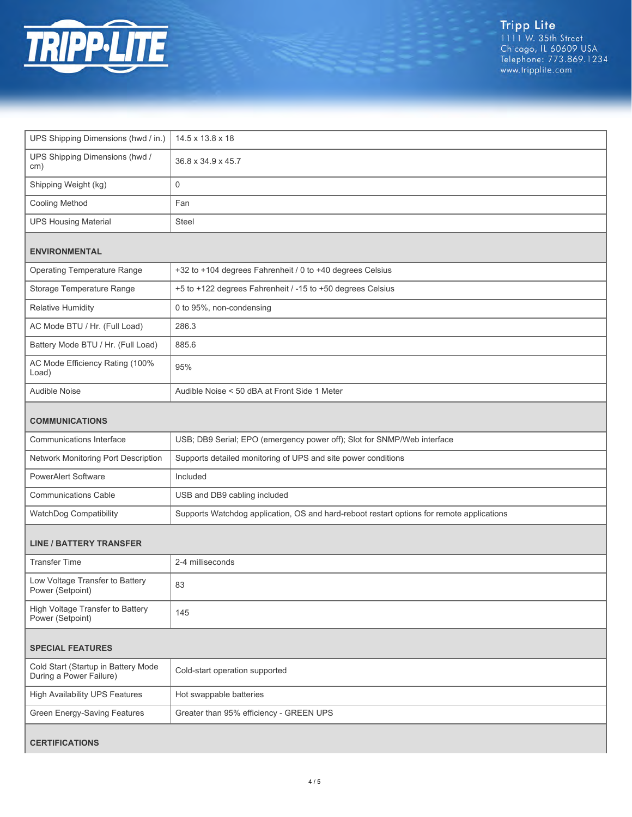

| UPS Shipping Dimensions (hwd / in.)                            | 14.5 x 13.8 x 18                                                                          |  |
|----------------------------------------------------------------|-------------------------------------------------------------------------------------------|--|
| UPS Shipping Dimensions (hwd /<br>cm)                          | 36.8 x 34.9 x 45.7                                                                        |  |
| Shipping Weight (kg)                                           | $\mathbf 0$                                                                               |  |
| Cooling Method                                                 | Fan                                                                                       |  |
| <b>UPS Housing Material</b>                                    | Steel                                                                                     |  |
| <b>ENVIRONMENTAL</b>                                           |                                                                                           |  |
| <b>Operating Temperature Range</b>                             | +32 to +104 degrees Fahrenheit / 0 to +40 degrees Celsius                                 |  |
| Storage Temperature Range                                      | +5 to +122 degrees Fahrenheit / -15 to +50 degrees Celsius                                |  |
| Relative Humidity                                              | 0 to 95%, non-condensing                                                                  |  |
| AC Mode BTU / Hr. (Full Load)                                  | 286.3                                                                                     |  |
| Battery Mode BTU / Hr. (Full Load)                             | 885.6                                                                                     |  |
| AC Mode Efficiency Rating (100%<br>Load)                       | 95%                                                                                       |  |
| Audible Noise                                                  | Audible Noise < 50 dBA at Front Side 1 Meter                                              |  |
| <b>COMMUNICATIONS</b>                                          |                                                                                           |  |
| Communications Interface                                       | USB; DB9 Serial; EPO (emergency power off); Slot for SNMP/Web interface                   |  |
| Network Monitoring Port Description                            | Supports detailed monitoring of UPS and site power conditions                             |  |
| <b>PowerAlert Software</b>                                     | Included                                                                                  |  |
| Communications Cable                                           | USB and DB9 cabling included                                                              |  |
| WatchDog Compatibility                                         | Supports Watchdog application, OS and hard-reboot restart options for remote applications |  |
| <b>LINE / BATTERY TRANSFER</b>                                 |                                                                                           |  |
| <b>Transfer Time</b>                                           | 2-4 milliseconds                                                                          |  |
| Low Voltage Transfer to Battery<br>Power (Setpoint)            | 83                                                                                        |  |
| High Voltage Transfer to Battery<br>Power (Setpoint)           | 145                                                                                       |  |
| <b>SPECIAL FEATURES</b>                                        |                                                                                           |  |
| Cold Start (Startup in Battery Mode<br>During a Power Failure) | Cold-start operation supported                                                            |  |
| <b>High Availability UPS Features</b>                          | Hot swappable batteries                                                                   |  |
| <b>Green Energy-Saving Features</b>                            | Greater than 95% efficiency - GREEN UPS                                                   |  |
| <b>CERTIFICATIONS</b>                                          |                                                                                           |  |